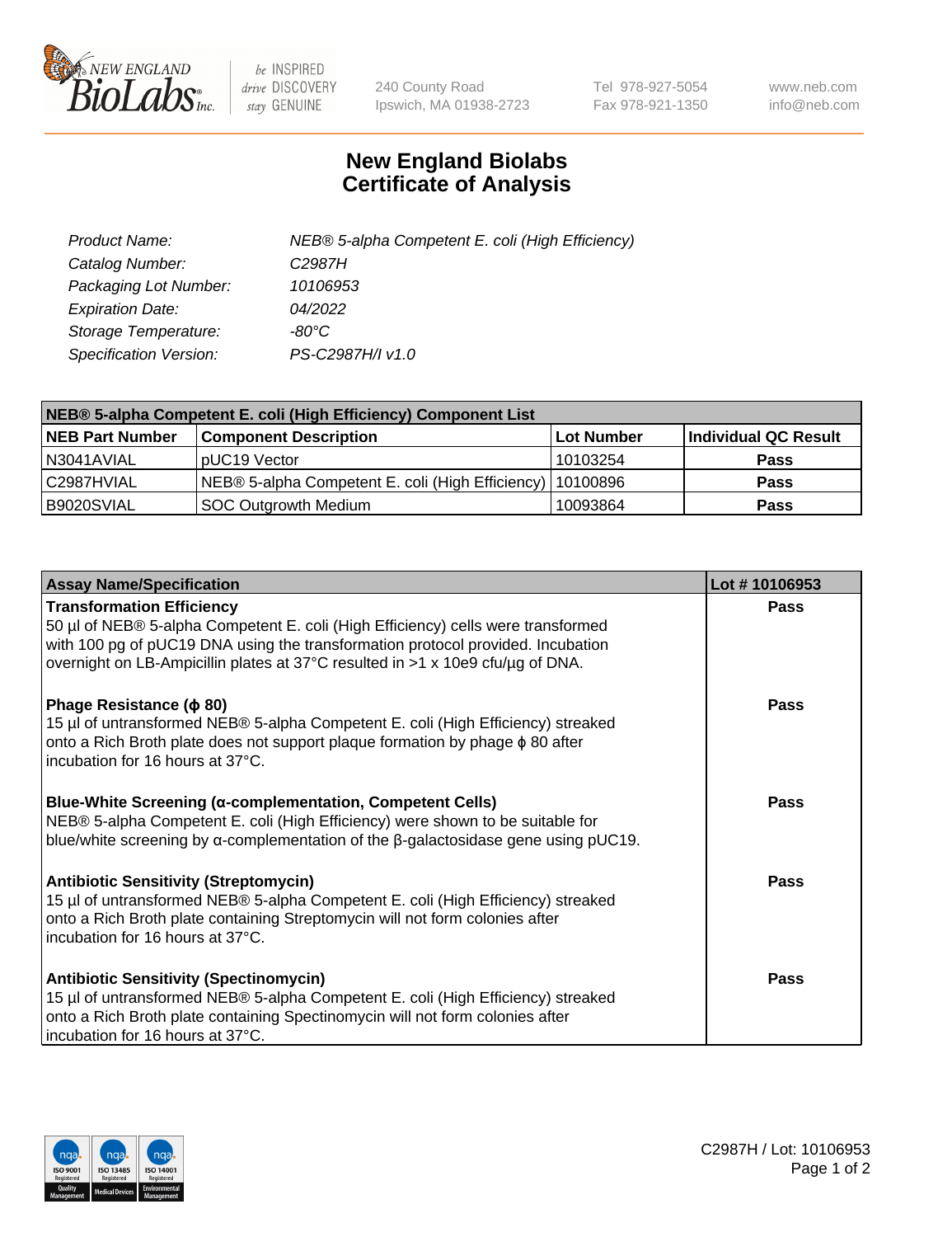

 $be$  INSPIRED drive DISCOVERY stay GENUINE

240 County Road Ipswich, MA 01938-2723 Tel 978-927-5054 Fax 978-921-1350 www.neb.com info@neb.com

## **New England Biolabs Certificate of Analysis**

| Product Name:           | NEB® 5-alpha Competent E. coli (High Efficiency) |
|-------------------------|--------------------------------------------------|
| Catalog Number:         | C <sub>2987</sub> H                              |
| Packaging Lot Number:   | 10106953                                         |
| <b>Expiration Date:</b> | 04/2022                                          |
| Storage Temperature:    | -80°C.                                           |
| Specification Version:  | PS-C2987H/I v1.0                                 |

| NEB® 5-alpha Competent E. coli (High Efficiency) Component List |                                                             |            |                      |  |
|-----------------------------------------------------------------|-------------------------------------------------------------|------------|----------------------|--|
| <b>NEB Part Number</b>                                          | <b>Component Description</b>                                | Lot Number | Individual QC Result |  |
| N3041AVIAL                                                      | pUC19 Vector                                                | 10103254   | <b>Pass</b>          |  |
| C2987HVIAL                                                      | NEB® 5-alpha Competent E. coli (High Efficiency)   10100896 |            | <b>Pass</b>          |  |
| B9020SVIAL                                                      | <b>SOC Outgrowth Medium</b>                                 | 10093864   | <b>Pass</b>          |  |

| <b>Assay Name/Specification</b>                                                                                                                                                                                                                                                           | Lot #10106953 |
|-------------------------------------------------------------------------------------------------------------------------------------------------------------------------------------------------------------------------------------------------------------------------------------------|---------------|
| <b>Transformation Efficiency</b><br>50 µl of NEB® 5-alpha Competent E. coli (High Efficiency) cells were transformed<br>with 100 pg of pUC19 DNA using the transformation protocol provided. Incubation<br>overnight on LB-Ampicillin plates at 37°C resulted in >1 x 10e9 cfu/µg of DNA. | Pass          |
| Phage Resistance ( $\phi$ 80)<br>15 µl of untransformed NEB® 5-alpha Competent E. coli (High Efficiency) streaked<br>onto a Rich Broth plate does not support plaque formation by phage $\phi$ 80 after<br>incubation for 16 hours at 37°C.                                               | Pass          |
| <b>Blue-White Screening (α-complementation, Competent Cells)</b><br>NEB® 5-alpha Competent E. coli (High Efficiency) were shown to be suitable for<br>blue/white screening by $\alpha$ -complementation of the $\beta$ -galactosidase gene using pUC19.                                   | Pass          |
| <b>Antibiotic Sensitivity (Streptomycin)</b><br>15 µl of untransformed NEB® 5-alpha Competent E. coli (High Efficiency) streaked<br>onto a Rich Broth plate containing Streptomycin will not form colonies after<br>incubation for 16 hours at 37°C.                                      | Pass          |
| <b>Antibiotic Sensitivity (Spectinomycin)</b><br>15 µl of untransformed NEB® 5-alpha Competent E. coli (High Efficiency) streaked<br>onto a Rich Broth plate containing Spectinomycin will not form colonies after<br>incubation for 16 hours at 37°C.                                    | Pass          |